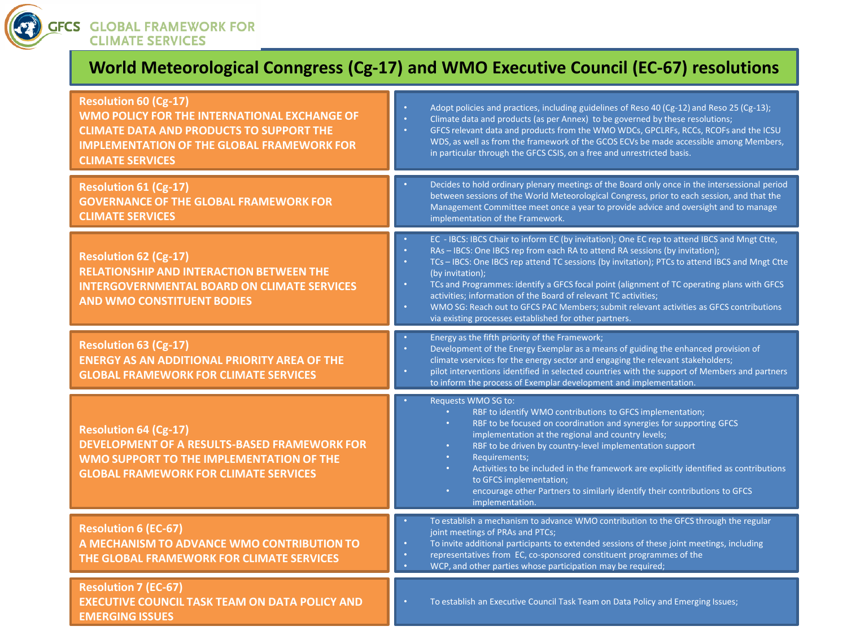

**GLOBAL FRAMEWORK FOR CLIMATE SERVICES** 

## **World Meteorological Conngress (Cg-17) and WMO Executive Council (EC-67) resolutions**

| <b>Resolution 60 (Cg-17)</b><br>WMO POLICY FOR THE INTERNATIONAL EXCHANGE OF<br><b>CLIMATE DATA AND PRODUCTS TO SUPPORT THE</b><br><b>IMPLEMENTATION OF THE GLOBAL FRAMEWORK FOR</b><br><b>CLIMATE SERVICES</b> | Adopt policies and practices, including guidelines of Reso 40 (Cg-12) and Reso 25 (Cg-13);<br>$\bullet$<br>$\bullet$<br>Climate data and products (as per Annex) to be governed by these resolutions;<br>ò.<br>GFCS relevant data and products from the WMO WDCs, GPCLRFs, RCCs, RCOFs and the ICSU<br>WDS, as well as from the framework of the GCOS ECVs be made accessible among Members,<br>in particular through the GFCS CSIS, on a free and unrestricted basis.                                                                                                                                                                                                                    |
|-----------------------------------------------------------------------------------------------------------------------------------------------------------------------------------------------------------------|-------------------------------------------------------------------------------------------------------------------------------------------------------------------------------------------------------------------------------------------------------------------------------------------------------------------------------------------------------------------------------------------------------------------------------------------------------------------------------------------------------------------------------------------------------------------------------------------------------------------------------------------------------------------------------------------|
| <b>Resolution 61 (Cg-17)</b><br><b>GOVERNANCE OF THE GLOBAL FRAMEWORK FOR</b><br><b>CLIMATE SERVICES</b>                                                                                                        | Decides to hold ordinary plenary meetings of the Board only once in the intersessional period<br>$\bullet$<br>between sessions of the World Meteorological Congress, prior to each session, and that the<br>Management Committee meet once a year to provide advice and oversight and to manage<br>implementation of the Framework.                                                                                                                                                                                                                                                                                                                                                       |
| <b>Resolution 62 (Cg-17)</b><br><b>RELATIONSHIP AND INTERACTION BETWEEN THE</b><br><b>INTERGOVERNMENTAL BOARD ON CLIMATE SERVICES</b><br><b>AND WMO CONSTITUENT BODIES</b>                                      | EC - IBCS: IBCS Chair to inform EC (by invitation); One EC rep to attend IBCS and Mngt Ctte,<br>$\bullet$<br>RAs - IBCS: One IBCS rep from each RA to attend RA sessions (by invitation);<br>$\bullet$<br>TCs - IBCS: One IBCS rep attend TC sessions (by invitation); PTCs to attend IBCS and Mngt Ctte<br>$\bullet$<br>(by invitation);<br>TCs and Programmes: identify a GFCS focal point (alignment of TC operating plans with GFCS<br>$\bullet$<br>activities; information of the Board of relevant TC activities;<br>WMO SG: Reach out to GFCS PAC Members; submit relevant activities as GFCS contributions<br>$\bullet$<br>via existing processes established for other partners. |
| <b>Resolution 63 (Cg-17)</b><br><b>ENERGY AS AN ADDITIONAL PRIORITY AREA OF THE</b><br><b>GLOBAL FRAMEWORK FOR CLIMATE SERVICES</b>                                                                             | Energy as the fifth priority of the Framework;<br>$\bullet$<br>Development of the Energy Exemplar as a means of guiding the enhanced provision of<br>$\bullet$<br>climate vservices for the energy sector and engaging the relevant stakeholders;<br>pilot interventions identified in selected countries with the support of Members and partners<br>to inform the process of Exemplar development and implementation.                                                                                                                                                                                                                                                                   |
| <b>Resolution 64 (Cg-17)</b><br><b>DEVELOPMENT OF A RESULTS-BASED FRAMEWORK FOR</b><br>WMO SUPPORT TO THE IMPLEMENTATION OF THE<br><b>GLOBAL FRAMEWORK FOR CLIMATE SERVICES</b>                                 | Requests WMO SG to:<br>RBF to identify WMO contributions to GFCS implementation;<br>RBF to be focused on coordination and synergies for supporting GFCS<br>implementation at the regional and country levels;<br>RBF to be driven by country-level implementation support<br>$\bullet$<br>Requirements;<br>Activities to be included in the framework are explicitly identified as contributions<br>$\bullet$<br>to GFCS implementation;<br>encourage other Partners to similarly identify their contributions to GFCS<br>implementation.                                                                                                                                                 |
| <b>Resolution 6 (EC-67)</b><br>A MECHANISM TO ADVANCE WMO CONTRIBUTION TO<br>THE GLOBAL FRAMEWORK FOR CLIMATE SERVICES                                                                                          | To establish a mechanism to advance WMO contribution to the GFCS through the regular<br>$\bullet$<br>joint meetings of PRAs and PTCs;<br>To invite additional participants to extended sessions of these joint meetings, including<br>$\bullet$<br>representatives from EC, co-sponsored constituent programmes of the<br>$\bullet$<br>WCP, and other parties whose participation may be required;<br>٠                                                                                                                                                                                                                                                                                   |
| <b>Resolution 7 (EC-67)</b><br><b>EXECUTIVE COUNCIL TASK TEAM ON DATA POLICY AND</b><br><b>EMERGING ISSUES</b>                                                                                                  | To establish an Executive Council Task Team on Data Policy and Emerging Issues;<br>$\bullet$                                                                                                                                                                                                                                                                                                                                                                                                                                                                                                                                                                                              |